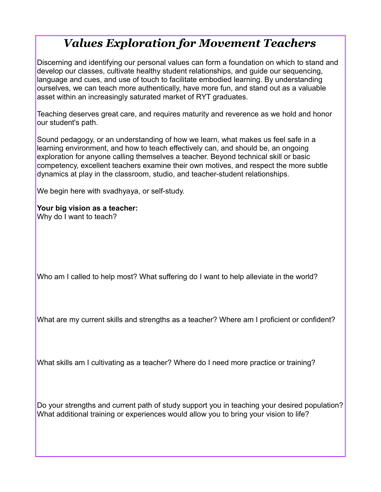## *Values Exploration for Movement Teachers*

Discerning and identifying our personal values can form a foundation on which to stand and develop our classes, cultivate healthy student relationships, and guide our sequencing, language and cues, and use of touch to facilitate embodied learning. By understanding ourselves, we can teach more authentically, have more fun, and stand out as a valuable asset within an increasingly saturated market of RYT graduates.

Teaching deserves great care, and requires maturity and reverence as we hold and honor our student's path.

Sound pedagogy, or an understanding of how we learn, what makes us feel safe in a learning environment, and how to teach effectively can, and should be, an ongoing exploration for anyone calling themselves a teacher. Beyond technical skill or basic competency, excellent teachers examine their own motives, and respect the more subtle dynamics at play in the classroom, studio, and teacher-student relationships.

We begin here with svadhyaya, or self-study.

## **Your big vision as a teacher:**

Why do I want to teach?

Who am I called to help most? What suffering do I want to help alleviate in the world?

What are my current skills and strengths as a teacher? Where am I proficient or confident?

What skills am I cultivating as a teacher? Where do I need more practice or training?

Do your strengths and current path of study support you in teaching your desired population? What additional training or experiences would allow you to bring your vision to life?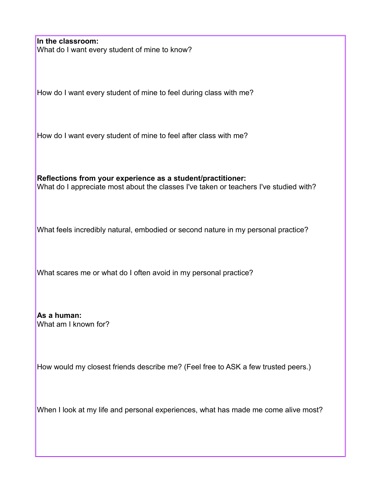**In the classroom:** What do I want every student of mine to know?

How do I want every student of mine to feel during class with me?

How do I want every student of mine to feel after class with me?

**Reflections from your experience as a student/practitioner:** What do I appreciate most about the classes I've taken or teachers I've studied with?

What feels incredibly natural, embodied or second nature in my personal practice?

What scares me or what do I often avoid in my personal practice?

**As a human:** What am I known for?

How would my closest friends describe me? (Feel free to ASK a few trusted peers.)

When I look at my life and personal experiences, what has made me come alive most?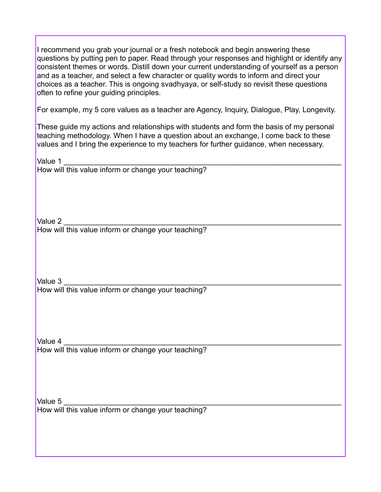I recommend you grab your journal or a fresh notebook and begin answering these questions by putting pen to paper. Read through your responses and highlight or identify any consistent themes or words. Distill down your current understanding of yourself as a person and as a teacher, and select a few character or quality words to inform and direct your choices as a teacher. This is ongoing svadhyaya, or self-study so revisit these questions often to refine your guiding principles.

For example, my 5 core values as a teacher are Agency, Inquiry, Dialogue, Play, Longevity.

These guide my actions and relationships with students and form the basis of my personal teaching methodology. When I have a question about an exchange, I come back to these values and I bring the experience to my teachers for further guidance, when necessary.

Value 1 \_\_\_\_\_\_\_\_\_\_\_\_\_\_\_\_\_\_\_\_\_\_\_\_\_\_\_\_\_\_\_\_\_\_\_\_\_\_\_\_\_\_\_\_\_\_\_\_\_\_\_\_\_\_\_\_\_\_\_\_\_\_\_\_\_\_\_

How will this value inform or change your teaching?

Value 2  $\overline{\phantom{a}}$ How will this value inform or change your teaching?

Value 3 \_\_\_\_\_\_\_\_\_\_\_\_\_\_\_\_\_\_\_\_\_\_\_\_\_\_\_\_\_\_\_\_\_\_\_\_\_\_\_\_\_\_\_\_\_\_\_\_\_\_\_\_\_\_\_\_\_\_\_\_\_\_\_\_\_\_\_ How will this value inform or change your teaching?

Value 4 \_\_\_\_\_\_\_\_\_\_\_\_\_\_\_\_\_\_\_\_\_\_\_\_\_\_\_\_\_\_\_\_\_\_\_\_\_\_\_\_\_\_\_\_\_\_\_\_\_\_\_\_\_\_\_\_\_\_\_\_\_\_\_\_\_\_\_ How will this value inform or change your teaching?

Value  $5$   $\overline{\phantom{a}}$ How will this value inform or change your teaching?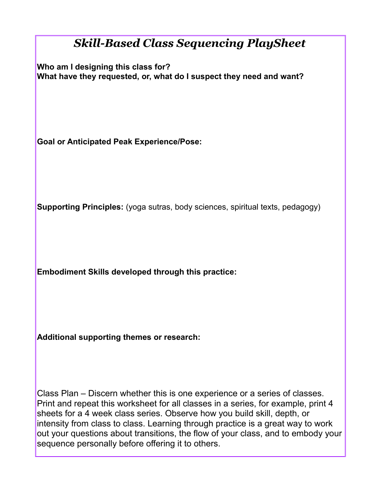## *Skill-Based Class Sequencing PlaySheet*

**Who am I designing this class for? What have they requested, or, what do I suspect they need and want?**

**Goal or Anticipated Peak Experience/Pose:**

**Supporting Principles:** (yoga sutras, body sciences, spiritual texts, pedagogy)

**Embodiment Skills developed through this practice:**

**Additional supporting themes or research:**

Class Plan – Discern whether this is one experience or a series of classes. Print and repeat this worksheet for all classes in a series, for example, print 4 sheets for a 4 week class series. Observe how you build skill, depth, or intensity from class to class. Learning through practice is a great way to work out your questions about transitions, the flow of your class, and to embody your sequence personally before offering it to others.